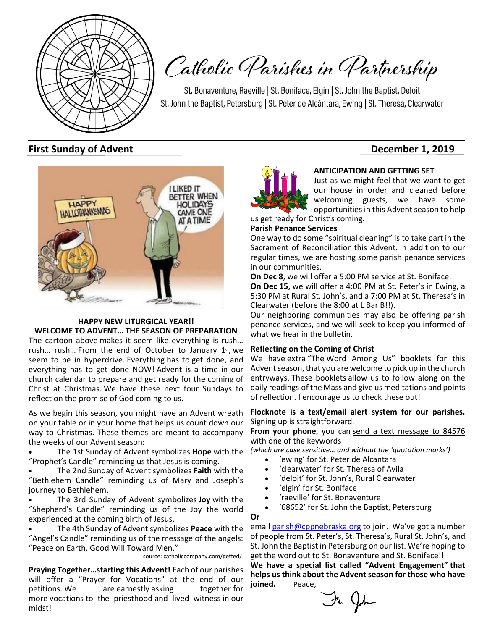

# Catholic Parishes in Partnership

St. Bonaventure, Raeville | St. Boniface, Elgin | St. John the Baptist, Deloit St. John the Baptist, Petersburg | St. Peter de Alcántara, Ewing | St. Theresa, Clearwater

#### **First Sunday of Advent Contract Contract Contract Contract Contract Contract Contract Contract Contract Contract Contract Contract Contract Contract Contract Contract Contract Contract Contract Contract Contract Contract**



#### **HAPPY NEW LITURGICAL YEAR!! WELCOME TO ADVENT… THE SEASON OF PREPARATION**

The cartoon above makes it seem like everything is rush… rush... rush... From the end of October to January 1st, we seem to be in hyperdrive. Everything has to get done, and everything has to get done NOW! Advent is a time in our church calendar to prepare and get ready for the coming of Christ at Christmas. We have these next four Sundays to reflect on the promise of God coming to us.

As we begin this season, you might have an Advent wreath on your table or in your home that helps us count down our way to Christmas. These themes are meant to accompany the weeks of our Advent season:

• The 1st Sunday of Advent symbolizes **Hope** with the "Prophet's Candle" reminding us that Jesus is coming.

• The 2nd Sunday of Advent symbolizes **Faith** with the "Bethlehem Candle" reminding us of Mary and Joseph's journey to Bethlehem.

• The 3rd Sunday of Advent symbolizes **Joy** with the "Shepherd's Candle" reminding us of the Joy the world experienced at the coming birth of Jesus.

• The 4th Sunday of Advent symbolizes **Peace** with the "Angel's Candle" reminding us of the message of the angels: "Peace on Earth, Good Will Toward Men."

source: catholiccompany.com/getfed/

**Praying Together…starting this Advent!** Each of our parishes will offer a "Prayer for Vocations" at the end of our petitions. We are earnestly asking together for more vocations to the priesthood and lived witness in our midst!



**ANTICIPATION AND GETTING SET**

Just as we might feel that we want to get our house in order and cleaned before welcoming guests, we have some opportunities in this Advent season to help

us get ready for Christ's coming.

#### **Parish Penance Services**

One way to do some "spiritual cleaning" is to take part in the Sacrament of Reconciliation this Advent. In addition to our regular times, we are hosting some parish penance services in our communities.

**On Dec 8**, we will offer a 5:00 PM service at St. Boniface.

**On Dec 15,** we will offer a 4:00 PM at St. Peter's in Ewing, a 5:30 PM at Rural St. John's, and a 7:00 PM at St. Theresa's in Clearwater (before the 8:00 at L Bar B!!).

Our neighboring communities may also be offering parish penance services, and we will seek to keep you informed of what we hear in the bulletin.

#### **Reflecting on the Coming of Christ**

We have extra "The Word Among Us" booklets for this Advent season, that you are welcome to pick up in the church entryways. These booklets allow us to follow along on the daily readings of the Mass and give us meditations and points of reflection. I encourage us to check these out!

#### **Flocknote is a text/email alert system for our parishes.**  Signing up is straightforward.

From your phone, you can send a text message to 84576 with one of the keywords

*(which are case sensitive… and without the 'quotation marks')*

- 'ewing' for St. Peter de Alcantara
- 'clearwater' for St. Theresa of Avila
- 'deloit' for St. John's, Rural Clearwater
- 'elgin' for St. Boniface
- 'raeville' for St. Bonaventure
- '68652' for St. John the Baptist, Petersburg

**Or** 

email [parish@cppnebraska.org](mailto:parish@cppnebraska.org) to join. We've got a number of people from St. Peter's, St. Theresa's, Rural St. John's, and St. John the Baptist in Petersburg on our list. We're hoping to get the word out to St. Bonaventure and St. Boniface!!

**We have a special list called "Advent Engagement" that helps us think about the Advent season for those who have**  joined. Peace,

Fr. John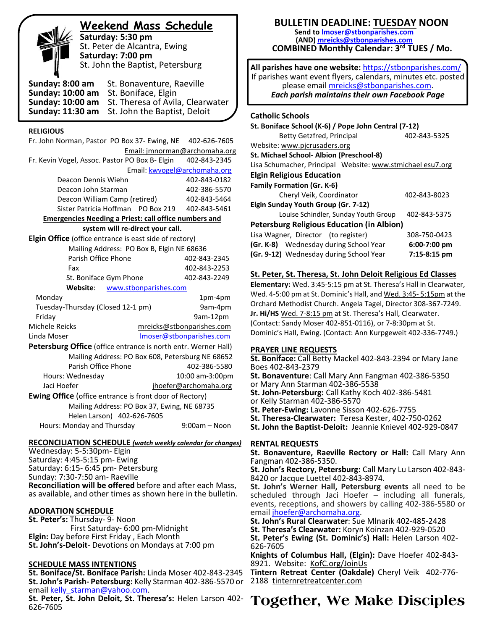# **Weekend Mass Schedule**

**Saturday: 5:30 pm** St. Peter de Alcantra, Ewing **Saturday: 7:00 pm** St. John the Baptist, Petersburg

**Sunday: 8:00 am** St. Bonaventure, Raeville **Sunday: 10:00 am** St. Boniface, Elgin **Sunday: 10:00 am** St. Theresa of Avila, Clearwater **Sunday: 11:30 am** St. John the Baptist, Deloit

#### **RELIGIOUS**

Fr. John Norman, Pastor PO Box 37- Ewing, NE 402-626-7605 Email: jmnorman@archomaha.org Fr. Kevin Vogel, Assoc. Pastor PO Box B- Elgin 402-843-2345 Email: [kwvogel@archomaha.org](mailto:kwvogel@archomaha.org) Deacon Dennis Wiehn 402-843-0182 Deacon John Starman 402-386-5570 Deacon William Camp (retired) 402-843-5464 Sister Patricia Hoffman PO Box 219 402-843-5461 **Emergencies Needing a Priest: call office numbers and system will re-direct your call. Elgin Office** (office entrance is east side of rectory) Mailing Address: PO Box B, Elgin NE 68636 Parish Office Phone 402-843-2345 Fax 402-843-2253 St. Boniface Gym Phone 402-843-2249  **Website**: [www.stbonparishes.com](http://www.stbonparishes.com/) Monday 1pm-4pm Tuesday-Thursday (Closed 12-1 pm) 9am-4pm Friday 9am-12pm Michele Reicks [mreicks@stbonparishes.com](mailto:mreicks@stbonparishes.com) Linda Moser **[lmoser@stbonparishes.com](mailto:lmoser@stbonparishes.com) Petersburg Office** (office entrance is north entr. Werner Hall) Mailing Address: PO Box 608, Petersburg NE 68652 Parish Office Phone 402-386-5580 Hours: Wednesday 10:00 am-3:00pm Jaci Hoefer in the interface in the property property interface in the late of the property in the late of the p **Ewing Office** (office entrance is front door of Rectory) Mailing Address: PO Box 37, Ewing, NE 68735 Helen Larson) 402-626-7605 Hours: Monday and Thursday 9:00am – Noon

#### **RECONCILIATION SCHEDULE** *(watch weekly calendar for changes)*

Wednesday: 5-5:30pm- Elgin Saturday: 4:45-5:15 pm- Ewing Saturday: 6:15- 6:45 pm- Petersburg Sunday: 7:30-7:50 am- Raeville **Reconciliation will be offered** before and after each Mass, as available, and other times as shown here in the bulletin.

#### **ADORATION SCHEDULE**

**St. Peter's:** Thursday- 9- Noon First Saturday- 6:00 pm-Midnight **Elgin:** Day before First Friday , Each Month **St. John's-Deloit**- Devotions on Mondays at 7:00 pm

#### **SCHEDULE MASS INTENTIONS**

**St. Boniface/St. Boniface Parish:** Linda Moser 402-843-2345 **St. John's Parish- Petersburg:** Kelly Starman 402-386-5570 or email kelly starman@yahoo.com.

**St. Peter, St. John Deloit, St. Theresa's:** Helen Larson 402- 626-7605

### **BULLETIN DEADLINE: TUESDAY NOON**

**Send t[o lmoser@stbonparishes.com](mailto:lmoser@stbonparishes.com) (AND) [mreicks@stbonparishes.com](mailto:mreicks@stbonparishes.com) COMBINED Monthly Calendar: 3rd TUES / Mo.** 

**All parishes have one website:** <https://stbonparishes.com/> If parishes want event flyers, calendars, minutes etc. posted please email [mreicks@stbonparishes.com.](mailto:mreicks@stbonparishes.com) *Each parish maintains their own Facebook Page*

#### **Catholic Schools**

| St. Boniface School (K-6) / Pope John Central (7-12)       |                |  |  |  |  |
|------------------------------------------------------------|----------------|--|--|--|--|
| <b>Betty Getzfred, Principal</b>                           | 402-843-5325   |  |  |  |  |
| Website: www.picrusaders.org                               |                |  |  |  |  |
| St. Michael School- Albion (Preschool-8)                   |                |  |  |  |  |
| Lisa Schumacher, Principal Website: www.stmichael esu7.org |                |  |  |  |  |
| <b>Elgin Religious Education</b>                           |                |  |  |  |  |
| <b>Family Formation (Gr. K-6)</b>                          |                |  |  |  |  |
| Cheryl Veik, Coordinator<br>402-843-8023                   |                |  |  |  |  |
| Elgin Sunday Youth Group (Gr. 7-12)                        |                |  |  |  |  |
| 402-843-5375<br>Louise Schindler, Sunday Youth Group       |                |  |  |  |  |
| <b>Petersburg Religious Education (in Albion)</b>          |                |  |  |  |  |
| Lisa Wagner, Director (to register)<br>308-750-0423        |                |  |  |  |  |
| (Gr. K-8) Wednesday during School Year                     | $6:00-7:00$ pm |  |  |  |  |
| (Gr. 9-12) Wednesday during School Year                    | 7:15-8:15 pm   |  |  |  |  |

#### **St. Peter, St. Theresa, St. John Deloit Religious Ed Classes**

**Elementary:** Wed. 3:45-5:15 pm at St. Theresa's Hall in Clearwater, Wed. 4-5:00 pm at St. Dominic's Hall, and Wed. 3:45- 5:15pm at the Orchard Methodist Church. Angela Tagel, Director 308-367-7249. **Jr. Hi/HS** Wed. 7-8:15 pm at St. Theresa's Hall, Clearwater. (Contact: Sandy Moser 402-851-0116), or 7-8:30pm at St. Dominic's Hall, Ewing. (Contact: Ann Kurpgeweit 402-336-7749.)

#### **PRAYER LINE REQUESTS**

**St. Boniface:** Call Betty Mackel 402-843-2394 or Mary Jane Boes 402-843-2379

**St. Bonaventure**: Call Mary Ann Fangman 402-386-5350 or Mary Ann Starman 402-386-5538 **St. John-Petersburg:** Call Kathy Koch 402-386-5481

or Kelly Starman 402-386-5570

**St. Peter-Ewing:** Lavonne Sisson 402-626-7755

**St. Theresa-Clearwater:** Teresa Kester, 402-750-0262

**St. John the Baptist-Deloit:** Jeannie Knievel 402-929-0847

#### **RENTAL REQUESTS**

**St. Bonaventure, Raeville Rectory or Hall:** Call Mary Ann Fangman 402-386-5350.

**St. John's Rectory, Petersburg:** Call Mary Lu Larson 402-843- 8420 or Jacque Luettel 402-843-8974.

**St. John's Werner Hall, Petersburg events** all need to be scheduled through Jaci Hoefer – including all funerals, events, receptions, and showers by calling 402-386-5580 or email [jhoefer@archomaha.org.](mailto:jhoefer@archomaha.org)

**St. John's Rural Clearwater**: Sue Mlnarik 402-485-2428

**St. Theresa's Clearwater:** Koryn Koinzan 402-929-0520

**St. Peter's Ewing (St. Dominic's) Hall:** Helen Larson 402- 626-7605

**Knights of Columbus Hall, (Elgin):** Dave Hoefer 402-843- 8921. Website: KofC.org/JoinUs

**Tintern Retreat Center (Oakdale)** Cheryl Veik 402-776- 2188 tinternretreatcenter.com

# **Together, We Make Disciples**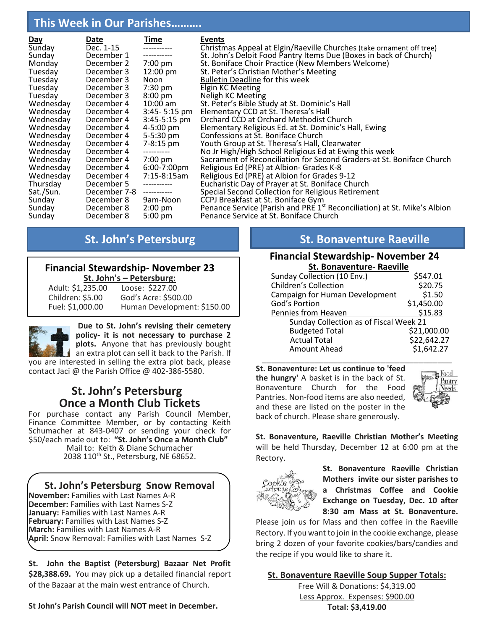# **This Week in Our Parishes……….**

| <u>Day</u> | Date         | <u>Time</u>    | Events                     |
|------------|--------------|----------------|----------------------------|
| Sunday     | Dec. 1-15    |                | Christmas Appeal a         |
| Sunday     | December 1   |                | St. John's Deloit Fo       |
| Monday     | December 2   | 7:00 pm        | St. Boniface Choir I       |
| Tuesday    | December 3   | 12:00 pm       | St. Peter's Christia       |
| Tuesday    | December 3   | Noon           | <b>Bulletin Deadline f</b> |
| Tuesday    | December 3   | 7:30 pm        | Elgin KC Meeting           |
| Tuesday    | December 3   | 8:00 pm        | Neligh KC Meeting          |
| Wednesday  | December 4   | $10:00$ am     | St. Peter's Bible Sti      |
| Wednesday  | December 4   | 3:45- 5:15 pm  | Elementary CCD at          |
| Wednesday  | December 4   | $3:45-5:15$ pm | Orchard CCD at Or          |
| Wednesday  | December 4   | 4-5:00 pm      | <b>Elementary Religio</b>  |
| Wednesday  | December 4   | 5-5:30 pm      | Confessions at St. I       |
| Wednesday  | December 4   | 7-8:15 pm      | Youth Group at St.         |
| Wednesday  | December 4   | -----------    | No Jr High/High Sc         |
| Wednesday  | December 4   | 7:00 pm        | Sacrament of Reco          |
| Wednesday  | December 4   | 6:00-7:00pm    | Religious Ed (PRE)         |
| Wednesday  | December 4   | 7:15-8:15am    | Religious Ed (PRE)         |
| Thursday   | December 5   | -----------    | Eucharistic Day of         |
| Sat./Sun.  | December 7-8 | ------------   | Special Second Col         |
| Sunday     | December 8   | 9am-Noon       | CCPJ Breakfast at S        |
| Sunday     | December 8   | $2:00$ pm      | Penance Service (P         |
| Sunday     | December 8   | 5:00 pm        | Penance Service at         |
|            |              |                |                            |

at Elgin/Raeville Churches (take ornament off tree) ood Pantry Items Due (Boxes in back of Church) Practice (New Members Welcome) an Mother's Meeting for this week tudy at St. Dominic's Hall It St. Theresa's Hall **Inchard Methodist Church** ous Ed. at St. Dominic's Hall, Ewing Boniface Church . Theresa's Hall, Clearwater chool Religious Ed at Ewing this week onciliation for Second Graders-at St. Boniface Church at Albion- Grades K-8 at Albion for Grades 9-12 Prayer at St. Boniface Church Mection for Religious Retirement St. Boniface Gym Parish and PRE 1<sup>st</sup> Reconciliation) at St. Mike's Albion It St. Boniface Church

#### **Financial Stewardship- November 23 St. John's – Petersburg:**

| Adult: \$1,235.00 | Loose: \$227.00             |
|-------------------|-----------------------------|
| Children: \$5.00  | God's Acre: \$500.00        |
| Fuel: \$1,000.00  | Human Development: \$150.00 |



j

**Due to St. John's revising their cemetery policy- it is not necessary to purchase 2 plots.** Anyone that has previously bought

an extra plot can sell it back to the Parish. If you are interested in selling the extra plot back, please contact Jaci @ the Parish Office @ 402-386-5580.

# **St. John's Petersburg Once a Month Club Tickets**

For purchase contact any Parish Council Member, Finance Committee Member, or by contacting Keith Schumacher at 843-0407 or sending your check for \$50/each made out to: **"St. John's Once a Month Club"** Mail to: Keith & Diane Schumacher

2038 110<sup>th</sup> St., Petersburg, NE 68652.

# **St. John's Petersburg Snow Removal**

**November:** Families with Last Names A-R **December:** Families with Last Names S-Z **January:** Families with Last Names A-R **February:** Families with Last Names S-Z **March:** Families with Last Names A-R **April:** Snow Removal: Families with Last Names S-Z

**St. John the Baptist (Petersburg) Bazaar Net Profit \$28,388.69.** You may pick up a detailed financial report of the Bazaar at the main west entrance of Church.

**St John's Parish Council will NOT meet in December.**

# **St. John's Petersburg St. Bonaventure Raeville**

#### **Financial Stewardship- November 24 St. Bonaventure- Raeville**

| Sunday Collection (10 Env.)            | \$547.01    |  |  |  |  |
|----------------------------------------|-------------|--|--|--|--|
| <b>Children's Collection</b>           | \$20.75     |  |  |  |  |
| Campaign for Human Development         | \$1.50      |  |  |  |  |
| God's Portion                          | \$1,450.00  |  |  |  |  |
| Pennies from Heaven                    | \$15.83     |  |  |  |  |
| Sunday Collection as of Fiscal Week 21 |             |  |  |  |  |
| <b>Budgeted Total</b>                  | \$21,000.00 |  |  |  |  |
| <b>Actual Total</b>                    | \$22,642.27 |  |  |  |  |
| <b>Amount Ahead</b>                    | \$1,642.27  |  |  |  |  |
|                                        |             |  |  |  |  |

**St. Bonaventure: Let us continue to 'feed the hungry'** A basket is in the back of St. Bonaventure Church for the Food Pantries. Non-food items are also needed, and these are listed on the poster in the back of church. Please share generously.



**St. Bonaventure, Raeville Christian Mother's Meeting** will be held Thursday, December 12 at 6:00 pm at the Rectory.



**St. Bonaventure Raeville Christian Mothers invite our sister parishes to a Christmas Coffee and Cookie Exchange on Tuesday, Dec. 10 after 8:30 am Mass at St. Bonaventure.**

Please join us for Mass and then coffee in the Raeville Rectory. If you want to join in the cookie exchange, please bring 2 dozen of your favorite cookies/bars/candies and the recipe if you would like to share it.

### **St. Bonaventure Raeville Soup Supper Totals:**

Free Will & Donations: \$4,319.00 Less Approx. Expenses: \$900.00 **Total: \$3,419.00**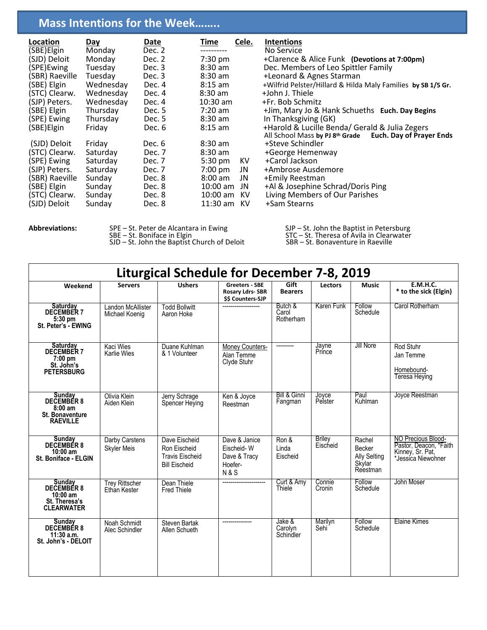# **Mass Intentions for the Week……..**

| Location<br>(SBE)Elgin<br>(SJD) Deloit<br>(SPE)Ewing<br>(SBR) Raeville<br>(SBE) Elgin<br>(STC) Clearw.<br>(SJP) Peters.<br>(SBE) Elgin<br>(SPE) Ewing<br>(SBE)Elgin | <u>Day</u><br>Monday<br>Monday<br>Tuesday<br>Tuesday<br>Wednesday<br>Wednesday<br>Wednesday<br>Thursday<br>Thursday<br>Friday | <u>Date</u><br>Dec. 2<br>Dec. 2<br>Dec. 3<br>Dec. 3<br>Dec. 4<br>Dec. 4<br>Dec. 4<br>Dec. 5<br>Dec. 5<br>Dec. 6 | Time<br>$7:30$ pm<br>$8:30$ am<br>$8:30$ am<br>$8:15$ am<br>$8:30$ am<br>$10:30$ am<br>$7:20$ am<br>$8:30$ am<br>$8:15$ am | Cele.                       | <b>Intentions</b><br>No Service<br>+Clarence & Alice Funk (Devotions at 7:00pm)<br>Dec. Members of Leo Spittler Family<br>+Leonard & Agnes Starman<br>+Wilfrid Pelster/Hillard & Hilda Maly Families by SB 1/5 Gr.<br>+John J. Thiele<br>+Fr. Bob Schmitz<br>+Jim, Mary Jo & Hank Schueths Euch. Day Begins<br>In Thanksgiving (GK)<br>+Harold & Lucille Benda/ Gerald & Julia Zegers<br><b>Euch. Day of Prayer Ends</b><br>All School Mass by PJ 8th Grade |
|---------------------------------------------------------------------------------------------------------------------------------------------------------------------|-------------------------------------------------------------------------------------------------------------------------------|-----------------------------------------------------------------------------------------------------------------|----------------------------------------------------------------------------------------------------------------------------|-----------------------------|-------------------------------------------------------------------------------------------------------------------------------------------------------------------------------------------------------------------------------------------------------------------------------------------------------------------------------------------------------------------------------------------------------------------------------------------------------------|
| (SJD) Deloit<br>(STC) Clearw.<br>(SPE) Ewing<br>(SJP) Peters.<br>(SBR) Raeville<br>(SBE) Elgin<br>(STC) Clearw.<br>(SJD) Deloit                                     | Friday<br>Saturday<br>Saturday<br>Saturday<br>Sunday<br>Sunday<br>Sunday<br>Sunday                                            | Dec. 6<br>Dec. 7<br>Dec. 7<br>Dec. 7<br>Dec. 8<br>Dec. 8<br>Dec. 8<br>Dec. 8                                    | $8:30$ am<br>$8:30$ am<br>$5:30 \text{ pm}$<br>$7:00$ pm<br>$8:00$ am<br>$10:00$ am<br>10:00 am<br>11:30 am KV             | KV<br>JN<br>JN<br>JN<br>KV. | +Steve Schindler<br>+George Hemenway<br>+Carol Jackson<br>+Ambrose Ausdemore<br>+Emily Reestman<br>+Al & Josephine Schrad/Doris Ping<br>Living Members of Our Parishes<br>+Sam Stearns                                                                                                                                                                                                                                                                      |

Abbreviations: SPE – St. Peter de Alcantara in Ewing SJP – St. John the Baptist in Petersburg SBE – St. Boniface in Elgin STC – St. Theresa of Avila in Clearwater SJD – St. John the Baptist Church of Deloit SBR – St. Bonaventure in Raeville

| <b>Liturgical Schedule for December 7-8, 2019</b>                                    |                                       |                                                                                 |                                                                          |                                |                              |                                                               |                                                                                        |  |
|--------------------------------------------------------------------------------------|---------------------------------------|---------------------------------------------------------------------------------|--------------------------------------------------------------------------|--------------------------------|------------------------------|---------------------------------------------------------------|----------------------------------------------------------------------------------------|--|
| Weekend                                                                              | <b>Servers</b>                        | <b>Ushers</b>                                                                   | Greeters - SBE<br><b>Rosary Ldrs-SBR</b><br><b>SS Counters-SJP</b>       | Gift<br><b>Bearers</b>         | <b>Lectors</b>               | Music                                                         | <b>E.M.H.C.</b><br>* to the sick (Elgin)                                               |  |
| Saturday<br>DECEMBER 7<br>5:30 pm<br>St. Peter's - EWING                             | Landon McAllister<br>Michael Koenig   | <b>Todd Bollwitt</b><br>Aaron Hoke                                              |                                                                          | Butch &<br>Carol<br>Rotherham  | Karen Funk                   | Follow<br>Schedule                                            | Carol Rotherham                                                                        |  |
| <b>Saturday</b><br><b>DECEMBER 7</b><br>$7:00$ pm<br>St. John's<br><b>PETERSBURG</b> | Kaci Wies<br><b>Karlie Wies</b>       | Duane Kuhlman<br>& 1 Volunteer                                                  | Money Counters-<br>Alan Temme<br>Clyde Stuhr                             | ----------                     | Jayne<br>Prince              | Jill Nore                                                     | Rod Stuhr<br>Jan Temme<br>Homebound-<br><b>Teresa Heying</b>                           |  |
| Sunday<br>DECEMBER 8<br>$8:00$ am<br>St. Bonaventure<br><b>RAEVILLE</b>              | Olivia Klein<br>Aiden Klein           | Jerry Schrage<br>Spencer Heying                                                 | Ken & Joyce<br>Reestman                                                  | Bill & Ginni<br>Fangman        | Joyce<br>Pelster             | Paul<br>Kuhlman                                               | Joyce Reestman                                                                         |  |
| Sunday<br>DECEMBER 8<br>$10:00$ am<br>St. Boniface - ELGIN                           | Darby Carstens<br><b>Skyler Meis</b>  | Dave Eischeid<br>Ron Eischeid<br><b>Travis Eischeid</b><br><b>Bill Eischeid</b> | Dave & Janice<br>Eischeid-W<br>Dave & Tracy<br>Hoefer-<br><b>N&amp;S</b> | Ron &<br>Linda<br>Eischeid     | <b>Briley</b><br>Eischeid    | Rachel<br>Becker<br><b>Ally Selting</b><br>Skylar<br>Reestman | NO Precious Blood-<br>Pastor, Deacon, *Faith<br>Kinney, Sr. Pat,<br>*Jessica Niewohner |  |
| Sunday<br>DECEMBER 8<br>$10:00$ am<br>St. Theresa's<br><b>CLEARWATER</b>             | <b>Trey Rittscher</b><br>Ethan Kester | Dean Thiele<br><b>Fred Thiele</b>                                               |                                                                          | Curt & Amy<br>Thiele           | Connie<br>Cronin             | Follow<br>Schedule                                            | John Moser                                                                             |  |
| <b>Sunday</b><br><b>DECEMBER 8</b><br>$11:30$ a.m.<br>St. John's - DELOIT            | Noah Schmidt<br>Alec Schindler        | <b>Steven Bartak</b><br>Allen Schueth                                           |                                                                          | Jake &<br>Carolyn<br>Schindler | Marilyn<br>Sehi <sup>®</sup> | Follow<br>Schedule                                            | Elaine Kimes                                                                           |  |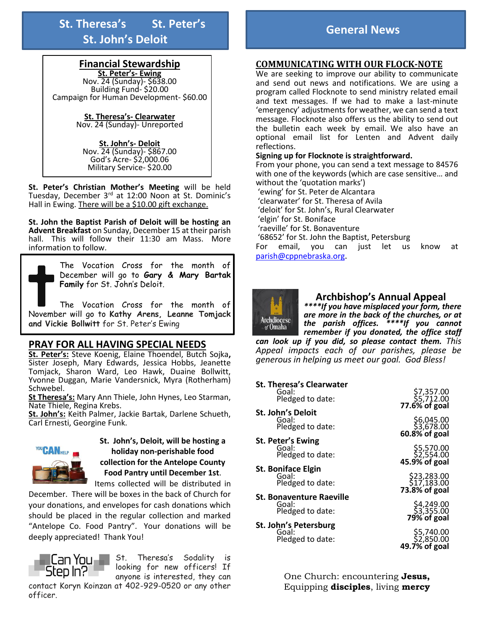**St. Theresa's St. Peter's St. John's Deloit**

#### **Financial Stewardship**

**St. Peter's- Ewing**  Nov. 24 (Sunday)- \$638.00 Building Fund- \$20.00 Campaign for Human Development- \$60.00

> **St. Theresa's- Clearwater**  Nov. 24 (Sunday)- Unreported

**St. John's- Deloit**  Nov. 24 (Sunday)- \$867.00 God's Acre- \$2,000.06 Military Service- \$20.00

**St. Peter's Christian Mother's Meeting** will be held Tuesday, December 3<sup>rd</sup> at 12:00 Noon at St. Dominic's Hall in Ewing. There will be a \$10.00 gift exchange.

**St. John the Baptist Parish of Deloit will be hosting an Advent Breakfast** on Sunday, December 15 at their parish hall. This will follow their 11:30 am Mass. More information to follow.

> The Vocation Cross for the month of December will go to **Gary & Mary Bartak Family** for St. John's Deloit.

The Vocation Cross for the month of November will go to **Kathy Arens, Leanne Tomjack and Vickie Bollwitt** for St. Peter's Ewing

#### **PRAY FOR ALL HAVING SPECIAL NEEDS**

**St. Peter's:** Steve Koenig, Elaine Thoendel, Butch Sojka**,**  Sister Joseph, Mary Edwards, Jessica Hobbs, Jeanette Tomjack, Sharon Ward, Leo Hawk, Duaine Bollwitt, Yvonne Duggan, Marie Vandersnick, Myra (Rotherham) Schwebel.

**St Theresa's:** Mary Ann Thiele, John Hynes, Leo Starman, Nate Thiele, Regina Krebs.

**St. John's:** Keith Palmer, Jackie Bartak, Darlene Schueth, Carl Ernesti, Georgine Funk.



**St. John's, Deloit, will be hosting a holiday non-perishable food collection for the Antelope County Food Pantry until December 1st**. Items collected will be distributed in

December. There will be boxes in the back of Church for your donations, and envelopes for cash donations which should be placed in the regular collection and marked "Antelope Co. Food Pantry". Your donations will be deeply appreciated! Thank You!



St. Theresa's Sodality is looking for new officers! If anyone is interested, they can

contact Koryn Koinzan at 402-929-0520 or any other officer.

#### **COMMUNICATING WITH OUR FLOCK-NOTE**

We are seeking to improve our ability to communicate and send out news and notifications. We are using a program called Flocknote to send ministry related email and text messages. If we had to make a last-minute 'emergency' adjustments for weather, we can send a text message. Flocknote also offers us the ability to send out the bulletin each week by email. We also have an optional email list for Lenten and Advent daily reflections.

#### **Signing up for Flocknote is straightforward.**

From your phone, you can send a text message to 84576 with one of the keywords (which are case sensitive… and without the 'quotation marks') 'ewing' for St. Peter de Alcantara 'clearwater' for St. Theresa of Avila 'deloit' for St. John's, Rural Clearwater 'elgin' for St. Boniface 'raeville' for St. Bonaventure '68652' for St. John the Baptist, Petersburg For email, you can just let us know at [parish@cppnebraska.org](mailto:parish@cppnebraska.org).



#### **Archbishop's Annual Appeal**

*\*\*\*\*If you have misplaced your form, there are more in the back of the churches, or at the parish offices. \*\*\*\*If you cannot remember if you donated, the office staff* 

*can look up if you did, so please contact them. This Appeal impacts each of our parishes, please be generous in helping us meet our goal. God Bless!*

| <b>St. Theresa's Clearwater</b> |                                                 |
|---------------------------------|-------------------------------------------------|
| Goal:<br>Pledged to date:       | 7,357.00<br>55,712.00<br><b>77.6% of goal</b>   |
| St. John's Deloit               |                                                 |
| Goal:<br>Pledged to date:       | \$6,045.00<br>\$3,678.00<br>$60.8\%$ of goal    |
| St. Peter's Ewing               |                                                 |
| Goal:<br>Pledged to date:       | \$5,570.00<br>\$2,554.00<br>45.9% of goal       |
| <b>St. Boniface Elgin</b>       |                                                 |
| Goal:<br>Pledged to date:       | \$23,283.00<br>\$17,183.00<br>73.8% of goal     |
| <b>St. Bonaventure Raeville</b> |                                                 |
| Goal:<br>Pledged to date:       | \$4,249.00<br>\$3,355.00<br>79% of goal         |
| St. John's Petersburg           |                                                 |
| Goal:                           |                                                 |
| Pledged to date:                | 55,740.00<br>\$2,850.00<br><b>49.7% of goal</b> |
|                                 |                                                 |

One Church: encountering **Jesus,** Equipping **disciples**, living **mercy**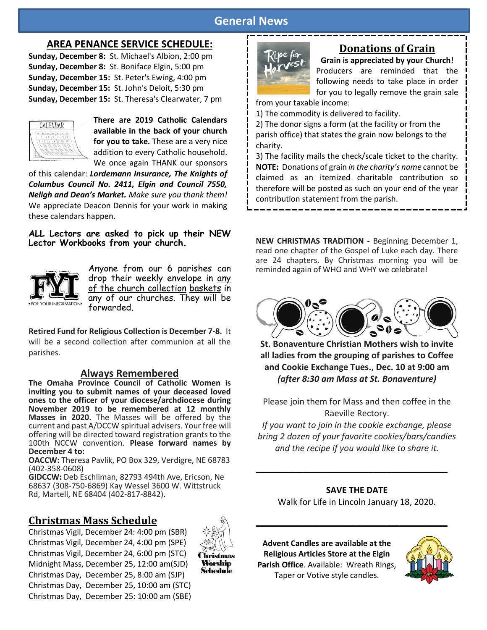# **General News**

### **AREA PENANCE SERVICE SCHEDULE:**

**Sunday, December 8:** St. Michael's Albion, 2:00 pm **Sunday, December 8:** St. Boniface Elgin, 5:00 pm **Sunday, December 15:** St. Peter's Ewing, 4:00 pm **Sunday, December 15:** St. John's Deloit, 5:30 pm **Sunday, December 15:** St. Theresa's Clearwater, 7 pm



**There are 2019 Catholic Calendars available in the back of your church for you to take.** These are a very nice addition to every Catholic household. We once again THANK our sponsors

of this calendar: *Lordemann Insurance, The Knights of Columbus Council No. 2411, Elgin and Council 7550, Neligh and Dean's Market. Make sure you thank them!* We appreciate Deacon Dennis for your work in making these calendars happen.

**ALL Lectors are asked to pick up their NEW Lector Workbooks from your church.**



Anyone from our 6 parishes can drop their weekly envelope in any of the church collection baskets in any of our churches. They will be forwarded.

**Retired Fund for Religious Collection is December 7-8.** It will be a second collection after communion at all the parishes.

#### **Always Remembered**

**The Omaha Province Council of Catholic Women is inviting you to submit names of your deceased loved ones to the officer of your diocese/archdiocese during November 2019 to be remembered at 12 monthly Masses in 2020.** The Masses will be offered by the current and past A/DCCW spiritual advisers. Your free will offering will be directed toward registration grants to the 100th NCCW convention. **Please forward names by December 4 to:**

**OACCW:** Theresa Pavlik, PO Box 329, Verdigre, NE 68783 (402-358-0608)

**GIDCCW:** Deb Eschliman, 82793 494th Ave, Ericson, Ne 68637 (308-750-6869) Kay Wessel 3600 W. Wittstruck Rd, Martell, NE 68404 (402-817-8842).

# **Christmas Mass Schedule**

Christmas Vigil, December 24: 4:00 pm (SBR) Christmas Vigil, December 24, 4:00 pm (SPE) Christmas Vigil, December 24, 6:00 pm (STC) Midnight Mass, December 25, 12:00 am(SJD) Christmas Day, December 25, 8:00 am (SJP) Christmas Day, December 25, 10:00 am (STC) Christmas Day, December 25: 10:00 am (SBE)



# **Donations of Grain**

**Grain is appreciated by your Church!** Producers are reminded that the following needs to take place in order for you to legally remove the grain sale

from your taxable income:

1) The commodity is delivered to facility.

2) The donor signs a form (at the facility or from the parish office) that states the grain now belongs to the charity.

3) The facility mails the check/scale ticket to the charity. **NOTE:** Donations of grain *in the charity's name* cannot be claimed as an itemized charitable contribution so therefore will be posted as such on your end of the year contribution statement from the parish.

**NEW CHRISTMAS TRADITION -** Beginning December 1, read one chapter of the Gospel of Luke each day. There are 24 chapters. By Christmas morning you will be reminded again of WHO and WHY we celebrate!



**St. Bonaventure Christian Mothers wish to invite all ladies from the grouping of parishes to Coffee and Cookie Exchange Tues., Dec. 10 at 9:00 am**  *(after 8:30 am Mass at St. Bonaventure)*

Please join them for Mass and then coffee in the Raeville Rectory.

*If you want to join in the cookie exchange, please bring 2 dozen of your favorite cookies/bars/candies and the recipe if you would like to share it.*

#### **SAVE THE DATE**

**\_\_\_\_\_\_\_\_\_\_\_\_\_\_\_\_\_\_\_\_\_\_\_\_\_\_\_\_\_\_\_\_\_\_\_\_\_\_\_\_\_\_\_\_**

Walk for Life in Lincoln January 18, 2020.

**\_\_\_\_\_\_\_\_\_\_\_\_\_\_\_\_\_\_\_\_\_\_\_\_\_\_\_\_\_\_\_\_\_\_\_\_\_\_\_\_\_\_\_\_**

**Advent Candles are available at the Religious Articles Store at the Elgin Parish Office**. Available: Wreath Rings, Taper or Votive style candles.

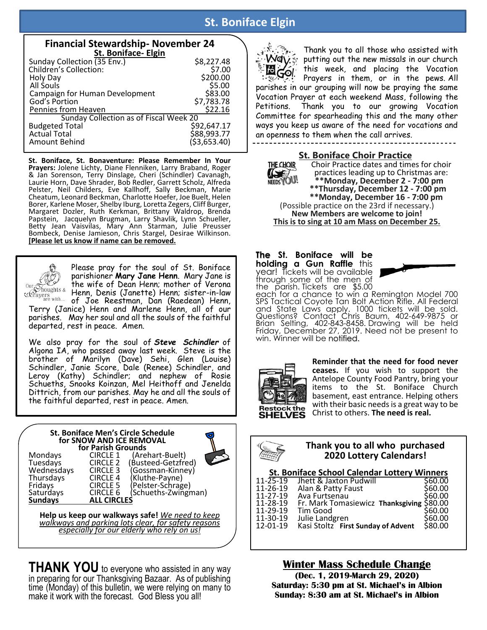# **St. Boniface Elgin**

| <b>Financial Stewardship- November 24</b> |              |  |  |  |  |
|-------------------------------------------|--------------|--|--|--|--|
| St. Boniface- Elgin                       |              |  |  |  |  |
| Sunday Collection (35 Env.)               | \$8,227.48   |  |  |  |  |
| Children's Collection:                    | \$7.00       |  |  |  |  |
| Holy Day                                  | \$200.00     |  |  |  |  |
| All Souls                                 | \$5.00       |  |  |  |  |
| Campaign for Human Development            | \$83.00      |  |  |  |  |
| God's Portion                             | \$7,783.78   |  |  |  |  |
| Pennies from Heaven                       | \$22.16      |  |  |  |  |
| Sunday Collection as of Fiscal Week 20    |              |  |  |  |  |
| <b>Budgeted Total</b>                     | \$92,647.17  |  |  |  |  |
| <b>Actual Total</b>                       | \$88,993.77  |  |  |  |  |
| Amount Behind                             | (53, 653.40) |  |  |  |  |

**St. Boniface, St. Bonaventure: Please Remember In Your Prayers:** Jolene Lichty, Diane Flenniken, Larry Braband, Roger & Jan Sorenson, Terry Dinslage, Cheri (Schindler) Cavanagh, Laurie Horn, Dave Shrader, Bob Redler, Garrett Scholz, Alfreda Pelster, Neil Childers, Eve Kallhoff, Sally Beckman, Marie Cheatum, Leonard Beckman, Charlotte Hoefer, Joe Buelt, Helen Borer, Karlene Moser, Shelby Iburg, Loretta Zegers, Cliff Burger, Margaret Dozler, Ruth Kerkman, Brittany Waldrop, Brenda Papstein, Jacquelyn Brugman, Larry Shavlik, Lynn Schueller, Betty Jean Vaisvilas, Mary Ann Starman, Julie Preusser Bombeck, Denise Jamieson, Chris Stargel, Desirae Wilkinson. **[Please let us know if name can be removed.**



Please pray for the soul of St. Boniface parishioner **Mary Jane Henn**. Mary Jane is the wife of Dean Henn; mother of Verona Henn, Denis (Janette) Henn; sister-in-law of Joe Reestman, Dan (Raedean) Henn,

Terry (Janice) Henn and Marlene Henn, all of our parishes. May her soul and all the souls of the faithful departed, rest in peace. Amen.

We also pray for the soul of *Steve Schindler* of Algona IA, who passed away last week. Steve is the brother of Marilyn (Dave) Sehi, Glen (Louise) Schindler, Janie Score, Dale (Renee) Schindler, and Leroy (Kathy) Schindler; and nephew of Rosie Schueths, Snooks Koinzan, Mel Heithoff and Jenelda Dittrich, from our parishes. May he and all the souls of the faithful departed, rest in peace. Amen.

#### **St. Boniface Men's Circle Schedule for SNOW AND ICE REMOVAL for Parish Grounds**

Mondays CIRCLE 1 (Arehart-Buelt) Tuesdays CIRCLE 2 (Busteed-Getzfred) Wednesdays CIRCLE 3 (Gossman-Kinney)<br>Thursdays CIRCLE 4 (Kluthe-Payne) Thursdays CIRCLE 4 (Kluthe-Payne) Fridays CIRCLE 5 (Pelster-Schrage)<br>Saturdays CIRCLE 6 (Schueths-Zwingr Saturdays CIRCLE 6 (Schueths-Zwingman)<br> **Sundays ALL CIRCLES Sundays ALL CIRCLES**

**Help us keep our walkways safe!** *We need to keep walkways and parking lots clear, for safety reasons especially for our elderly who rely on us!*

**THANK YOU** to everyone who assisted in any way in preparing for our Thanksgiving Bazaar. As of publishing time (Monday) of this bulletin, we were relying on many to make it work with the forecast. God Bless you all!



Thank you to all those who assisted with **May.** putting out the new missals in our church this week, and placing the Vocation Prayers in them, or in the pews. All parishes in our grouping will now be praying the same Vocation Prayer at each weekend Mass, following the Petitions. Thank you to our growing Vocation Committee for spearheading this and the many other ways you keep us aware of the need for vocations and an openness to them when the call arrives.



**St. Boniface Choir Practice**<br>THECHOIR Choir Practice dates and time Choir Practice dates and times for choir practices leading up to Christmas are:  **\*\*Monday, December 2 - 7:00 pm EXECT** bractices leading up to Christmas are:<br> **EXECT** +\*Monday, December 2 - 7:00 pm<br>
\*\*Thursday, December 12 - 7:00 pm  **\*\*Monday, December 16 - 7:00 pm** (Possible practice on the 23rd if necessary.) **New Members are welcome to join! This is to sing at 10 am Mass on December 25.**

#### **The St. Boniface will be holding a Gun Raffle** this year! Tickets will be available through some of the men of the parish. Tickets are \$5.00



each for a chance to win a Remington Model 700 SPS Tactical Coyote Tan Bolt Action Rifle. All Federal and State Laws apply. 1000 tickets will be sold. Questions? Contact Chris Baum, 402-649-9875 or Brian Selting, 402-843-8458. Drawing will be held Friday, December 27, 2019. Need not be present to win. Winner will be notified.



**Reminder that the need for food never ceases.** If you wish to support the Antelope County Food Pantry, bring your items to the St. Boniface Church basement, east entrance. Helping others with their basic needs is a great way to be Christ to others. **The need is real.**



#### **Thank you to all who purchased 2020 Lottery Calendars!**

#### **St. Boniface School Calendar Lottery Winners**

| $11 - 25 - 19$ | Jhett & Jaxton Pudwill                    | \$60.00 |
|----------------|-------------------------------------------|---------|
| 11-26-19       | Alan & Patty Faust                        | \$60.00 |
| 11-27-19       | Ava Furtsenau                             | \$60.00 |
| 11-28-19       | Fr. Mark Tomasiewicz Thanksgiving \$80.00 |         |
| 11-29-19       | Tim Good                                  | \$60.00 |
| 11-30-19       | Julie Landgren                            | \$60.00 |
| 12-01-19       | Kasi Stoltz First Sunday of Advent        | \$80.00 |
|                |                                           |         |

**Winter Mass Schedule Change (Dec. 1, 2019-March 29, 2020) Saturday: 5:30 pm at St. Michael's in Albion Sunday: 8:30 am at St. Michael's in Albion**